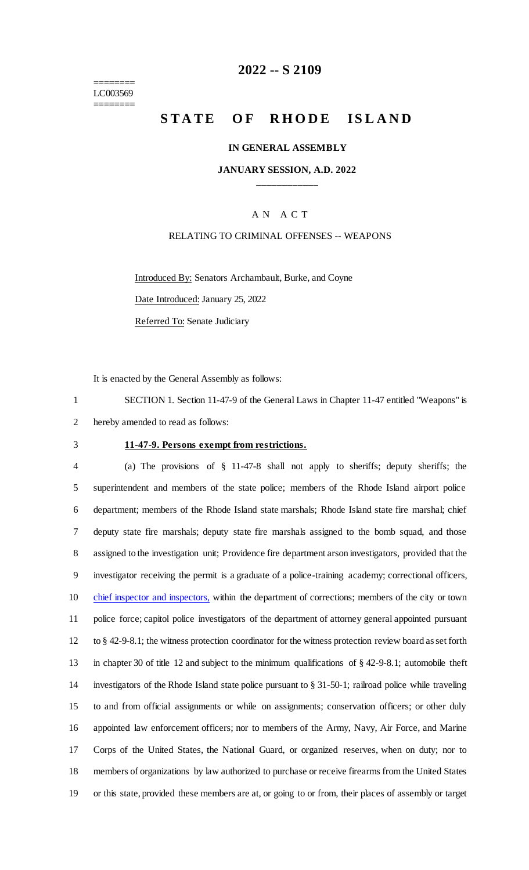======== LC003569 ========

### **2022 -- S 2109**

# **STATE OF RHODE ISLAND**

#### **IN GENERAL ASSEMBLY**

#### **JANUARY SESSION, A.D. 2022 \_\_\_\_\_\_\_\_\_\_\_\_**

### A N A C T

### RELATING TO CRIMINAL OFFENSES -- WEAPONS

Introduced By: Senators Archambault, Burke, and Coyne

Date Introduced: January 25, 2022

Referred To: Senate Judiciary

It is enacted by the General Assembly as follows:

1 SECTION 1. Section 11-47-9 of the General Laws in Chapter 11-47 entitled "Weapons" is 2 hereby amended to read as follows:

#### 3 **11-47-9. Persons exempt from restrictions.**

 (a) The provisions of § 11-47-8 shall not apply to sheriffs; deputy sheriffs; the superintendent and members of the state police; members of the Rhode Island airport police department; members of the Rhode Island state marshals; Rhode Island state fire marshal; chief deputy state fire marshals; deputy state fire marshals assigned to the bomb squad, and those assigned to the investigation unit; Providence fire department arson investigators, provided that the investigator receiving the permit is a graduate of a police-training academy; correctional officers, 10 chief inspector and inspectors, within the department of corrections; members of the city or town police force; capitol police investigators of the department of attorney general appointed pursuant to § 42-9-8.1; the witness protection coordinator for the witness protection review board as set forth in chapter 30 of title 12 and subject to the minimum qualifications of § 42-9-8.1; automobile theft investigators of the Rhode Island state police pursuant to § 31-50-1; railroad police while traveling to and from official assignments or while on assignments; conservation officers; or other duly appointed law enforcement officers; nor to members of the Army, Navy, Air Force, and Marine Corps of the United States, the National Guard, or organized reserves, when on duty; nor to members of organizations by law authorized to purchase or receive firearms from the United States or this state, provided these members are at, or going to or from, their places of assembly or target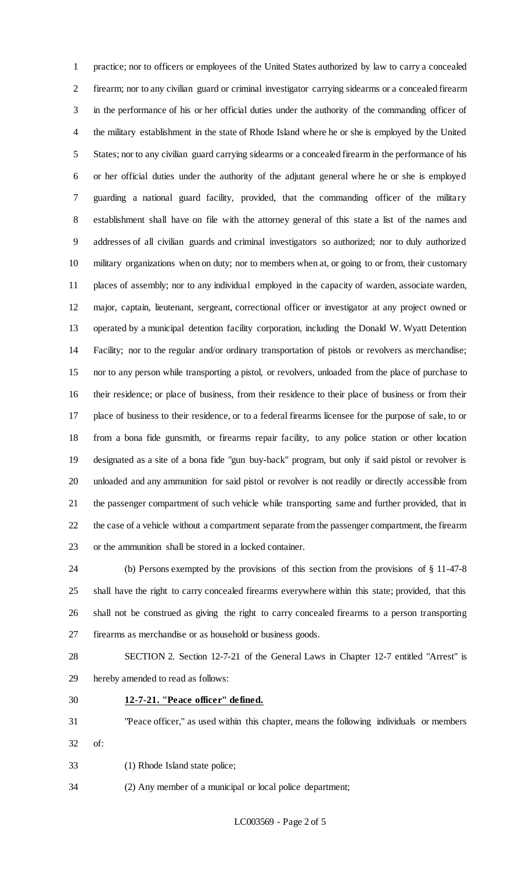practice; nor to officers or employees of the United States authorized by law to carry a concealed firearm; nor to any civilian guard or criminal investigator carrying sidearms or a concealed firearm in the performance of his or her official duties under the authority of the commanding officer of the military establishment in the state of Rhode Island where he or she is employed by the United States; nor to any civilian guard carrying sidearms or a concealed firearm in the performance of his or her official duties under the authority of the adjutant general where he or she is employed guarding a national guard facility, provided, that the commanding officer of the military establishment shall have on file with the attorney general of this state a list of the names and addresses of all civilian guards and criminal investigators so authorized; nor to duly authorized military organizations when on duty; nor to members when at, or going to or from, their customary places of assembly; nor to any individual employed in the capacity of warden, associate warden, major, captain, lieutenant, sergeant, correctional officer or investigator at any project owned or operated by a municipal detention facility corporation, including the Donald W. Wyatt Detention Facility; nor to the regular and/or ordinary transportation of pistols or revolvers as merchandise; nor to any person while transporting a pistol, or revolvers, unloaded from the place of purchase to their residence; or place of business, from their residence to their place of business or from their place of business to their residence, or to a federal firearms licensee for the purpose of sale, to or from a bona fide gunsmith, or firearms repair facility, to any police station or other location designated as a site of a bona fide "gun buy-back" program, but only if said pistol or revolver is unloaded and any ammunition for said pistol or revolver is not readily or directly accessible from the passenger compartment of such vehicle while transporting same and further provided, that in the case of a vehicle without a compartment separate from the passenger compartment, the firearm or the ammunition shall be stored in a locked container.

 (b) Persons exempted by the provisions of this section from the provisions of § 11-47-8 shall have the right to carry concealed firearms everywhere within this state; provided, that this shall not be construed as giving the right to carry concealed firearms to a person transporting firearms as merchandise or as household or business goods.

 SECTION 2. Section 12-7-21 of the General Laws in Chapter 12-7 entitled "Arrest" is hereby amended to read as follows:

#### **12-7-21. "Peace officer" defined.**

 "Peace officer," as used within this chapter, means the following individuals or members of:

(1) Rhode Island state police;

(2) Any member of a municipal or local police department;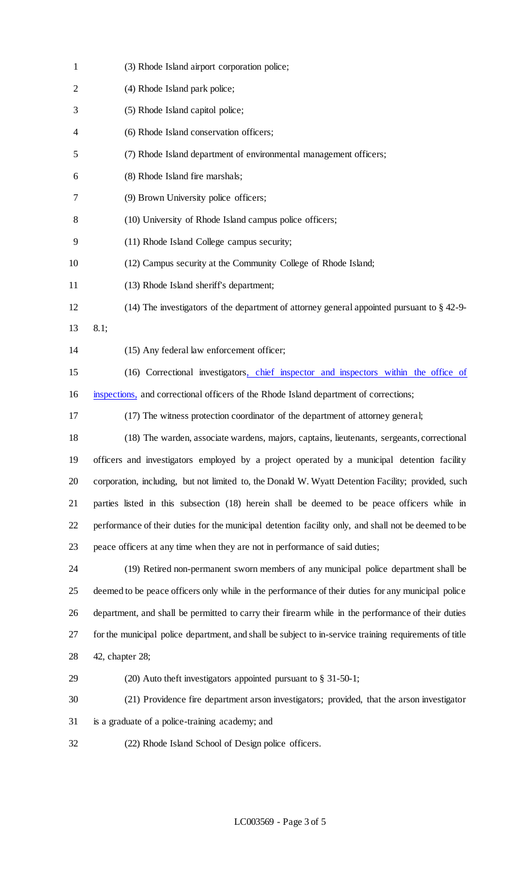| $\mathbf{1}$ | (3) Rhode Island airport corporation police;                                                           |
|--------------|--------------------------------------------------------------------------------------------------------|
| 2            | (4) Rhode Island park police;                                                                          |
| 3            | (5) Rhode Island capitol police;                                                                       |
| 4            | (6) Rhode Island conservation officers;                                                                |
| 5            | (7) Rhode Island department of environmental management officers;                                      |
| 6            | (8) Rhode Island fire marshals;                                                                        |
| 7            | (9) Brown University police officers;                                                                  |
| 8            | (10) University of Rhode Island campus police officers;                                                |
| 9            | (11) Rhode Island College campus security;                                                             |
| 10           | (12) Campus security at the Community College of Rhode Island;                                         |
| 11           | (13) Rhode Island sheriff's department;                                                                |
| 12           | (14) The investigators of the department of attorney general appointed pursuant to § 42-9-             |
| 13           | 8.1;                                                                                                   |
| 14           | (15) Any federal law enforcement officer;                                                              |
| 15           | (16) Correctional investigators, chief inspector and inspectors within the office of                   |
| 16           | inspections, and correctional officers of the Rhode Island department of corrections;                  |
| 17           | (17) The witness protection coordinator of the department of attorney general;                         |
| 18           | (18) The warden, associate wardens, majors, captains, lieutenants, sergeants, correctional             |
| 19           | officers and investigators employed by a project operated by a municipal detention facility            |
| 20           | corporation, including, but not limited to, the Donald W. Wyatt Detention Facility; provided, such     |
| 21           | parties listed in this subsection (18) herein shall be deemed to be peace officers while in            |
| 22           | performance of their duties for the municipal detention facility only, and shall not be deemed to be   |
| 23           | peace officers at any time when they are not in performance of said duties;                            |
| 24           | (19) Retired non-permanent sworn members of any municipal police department shall be                   |
| 25           | deemed to be peace officers only while in the performance of their duties for any municipal police     |
| 26           | department, and shall be permitted to carry their firearm while in the performance of their duties     |
| 27           | for the municipal police department, and shall be subject to in-service training requirements of title |
| 28           | 42, chapter 28;                                                                                        |
| 29           | $(20)$ Auto theft investigators appointed pursuant to § 31-50-1;                                       |
| 30           | (21) Providence fire department arson investigators; provided, that the arson investigator             |
| 31           | is a graduate of a police-training academy; and                                                        |
| 32           | (22) Rhode Island School of Design police officers.                                                    |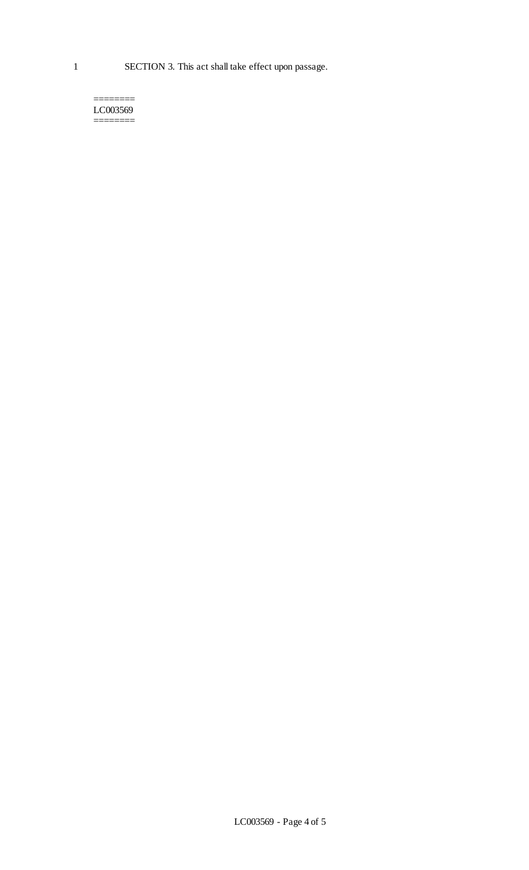1 SECTION 3. This act shall take effect upon passage.

======== LC003569 ========